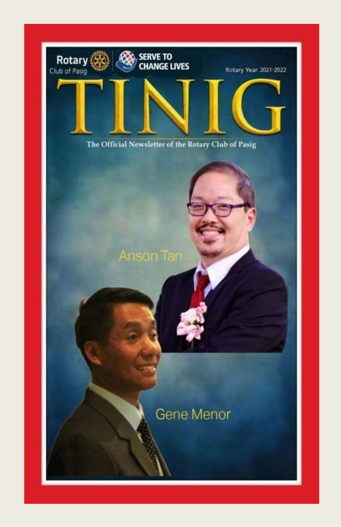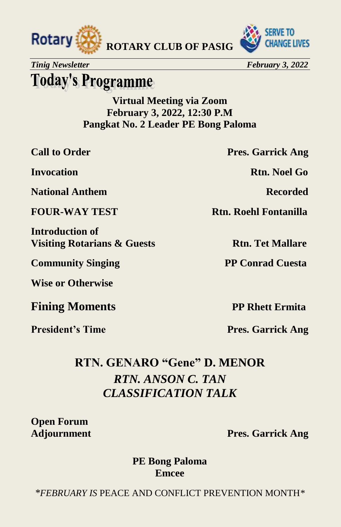



*Tinig Newsletter* February 3, 2022

# **Today's Programme**

**Virtual Meeting via Zoom February 3, 2022, 12:30 P.M Pangkat No. 2 Leader PE Bong Paloma**

**National Anthem Recorded**

**Introduction of Visiting Rotarians & Guests Rtn. Tet Mallare** 

**Community Singing PP Conrad Cuesta** 

**Wise or Otherwise** 

**Fining Moments PP Rhett Ermita** 

**Call to Order Pres. Garrick Ang** 

**Invocation Rtn. Noel Go**

**FOUR-WAY TEST Rtn. Roehl Fontanilla** 

**President's Time Pres. Garrick Ang** 

## **RTN. GENARO "Gene" D. MENOR** *RTN. ANSON C. TAN CLASSIFICATION TALK*

**Open Forum**

**Adjournment Pres. Garrick Ang**

**PE Bong Paloma Emcee**

*\*FEBRUARY IS* PEACE AND CONFLICT PREVENTION MONTH*\**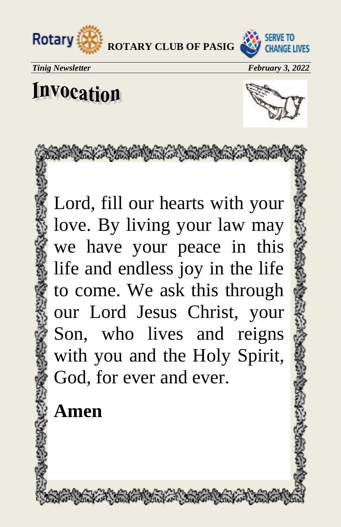

GA YAKAYAKA YAKA YAKAYAKA YAKA



*Tinig Newsletter* February 3, 2022

# Invocation



Lord, fill our hearts with your love. By living your law may we have your peace in this life and endless joy in the life to come. We ask this through our Lord Jesus Christ, your Son, who lives and reigns with you and the Holy Spirit, God, for ever and ever.

**Amen**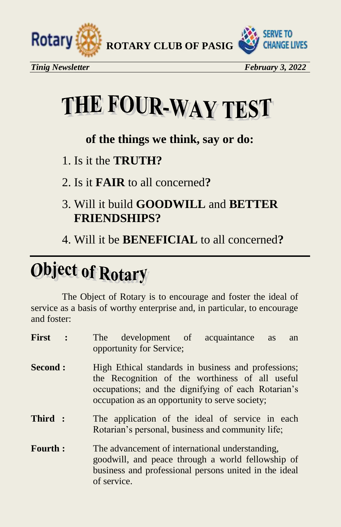

# THE FOUR-WAY TEST

## **of the things we think, say or do:**

- 1. Is it the **TRUTH?**
- 2. Is it **FAIR** to all concerned**?**
- 3. Will it build **GOODWILL** and **BETTER FRIENDSHIPS?**
- 4. Will it be **BENEFICIAL** to all concerned**?**

# **Object of Rotary**

The Object of Rotary is to encourage and foster the ideal of service as a basis of worthy enterprise and, in particular, to encourage and foster:

| First          | development of acquaintance<br>The<br><b>as</b><br>an<br>opportunity for Service;                                                                                                                              |  |
|----------------|----------------------------------------------------------------------------------------------------------------------------------------------------------------------------------------------------------------|--|
| <b>Second:</b> | High Ethical standards in business and professions;<br>the Recognition of the worthiness of all useful<br>occupations; and the dignifying of each Rotarian's<br>occupation as an opportunity to serve society; |  |
| Third:         | The application of the ideal of service in each<br>Rotarian's personal, business and community life;                                                                                                           |  |
| Fourth:        | The advancement of international understanding,<br>goodwill, and peace through a world fellowship of<br>business and professional persons united in the ideal<br>of service.                                   |  |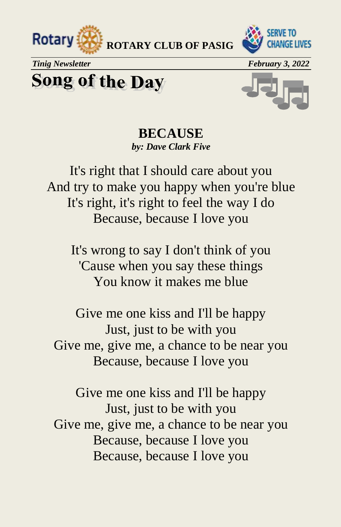

*Tinig Newsletter* February 3, 2022

**Song of the Day** 



### **BECAUSE** *[by: Dave Clark Five](https://www.google.com/search?q=The+Dave+Clark+Five&stick=H4sIAAAAAAAAAONgVuLSz9U3MMyJN0rOXcQqHJKRquCSWJaq4JyTWJSt4JZZlgoAhll0pCQAAAA&sa=X&ved=2ahUKEwjKlMq8iOH1AhVGed4KHQTxCzYQMXoECAgQAw)*

It's right that I should care about you And try to make you happy when you're blue It's right, it's right to feel the way I do Because, because I love you

It's wrong to say I don't think of you 'Cause when you say these things You know it makes me blue

Give me one kiss and I'll be happy Just, just to be with you Give me, give me, a chance to be near you Because, because I love you

Give me one kiss and I'll be happy Just, just to be with you Give me, give me, a chance to be near you Because, because I love you Because, because I love you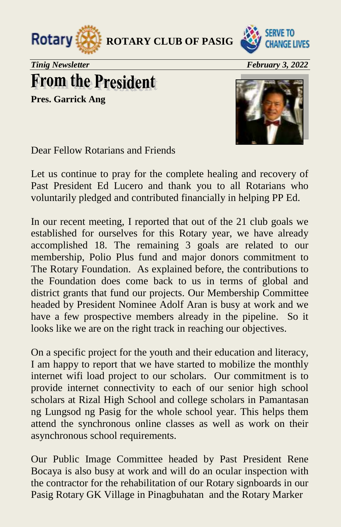



*Tinig Newsletter* February 3, 2022

# **From the President**

**Pres. Garrick Ang**



Dear Fellow Rotarians and Friends

Let us continue to pray for the complete healing and recovery of Past President Ed Lucero and thank you to all Rotarians who voluntarily pledged and contributed financially in helping PP Ed.

In our recent meeting, I reported that out of the 21 club goals we established for ourselves for this Rotary year, we have already accomplished 18. The remaining 3 goals are related to our membership, Polio Plus fund and major donors commitment to The Rotary Foundation. As explained before, the contributions to the Foundation does come back to us in terms of global and district grants that fund our projects. Our Membership Committee headed by President Nominee Adolf Aran is busy at work and we have a few prospective members already in the pipeline. So it looks like we are on the right track in reaching our objectives.

On a specific project for the youth and their education and literacy, I am happy to report that we have started to mobilize the monthly internet wifi load project to our scholars. Our commitment is to provide internet connectivity to each of our senior high school scholars at Rizal High School and college scholars in Pamantasan ng Lungsod ng Pasig for the whole school year. This helps them attend the synchronous online classes as well as work on their asynchronous school requirements.

Our Public Image Committee headed by Past President Rene Bocaya is also busy at work and will do an ocular inspection with the contractor for the rehabilitation of our Rotary signboards in our Pasig Rotary GK Village in Pinagbuhatan and the Rotary Marker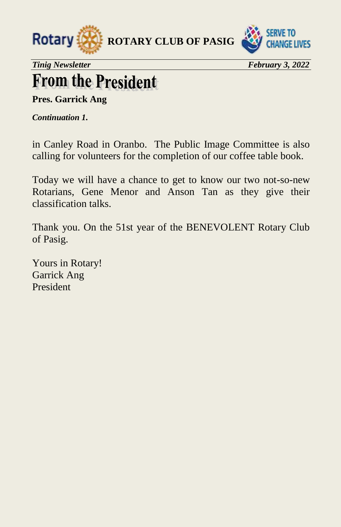



*Tinig Newsletter* February 3, 2022

# **From the President**

**Pres. Garrick Ang**

*Continuation 1.*

in Canley Road in Oranbo. The Public Image Committee is also calling for volunteers for the completion of our coffee table book.

Today we will have a chance to get to know our two not-so-new Rotarians, Gene Menor and Anson Tan as they give their classification talks.

Thank you. On the 51st year of the BENEVOLENT Rotary Club of Pasig.

Yours in Rotary! Garrick Ang President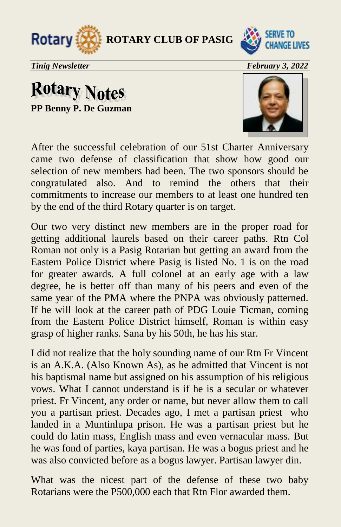



**Tinig Newsletter February 3, 2022** 

# **Rotary Notes PP Benny P. De Guzman**



After the successful celebration of our 51st Charter Anniversary came two defense of classification that show how good our selection of new members had been. The two sponsors should be congratulated also. And to remind the others that their commitments to increase our members to at least one hundred ten by the end of the third Rotary quarter is on target.

Our two very distinct new members are in the proper road for getting additional laurels based on their career paths. Rtn Col Roman not only is a Pasig Rotarian but getting an award from the Eastern Police District where Pasig is listed No. 1 is on the road for greater awards. A full colonel at an early age with a law degree, he is better off than many of his peers and even of the same year of the PMA where the PNPA was obviously patterned. If he will look at the career path of PDG Louie Ticman, coming from the Eastern Police District himself, Roman is within easy grasp of higher ranks. Sana by his 50th, he has his star.

I did not realize that the holy sounding name of our Rtn Fr Vincent is an A.K.A. (Also Known As), as he admitted that Vincent is not his baptismal name but assigned on his assumption of his religious vows. What I cannot understand is if he is a secular or whatever priest. Fr Vincent, any order or name, but never allow them to call you a partisan priest. Decades ago, I met a partisan priest who landed in a Muntinlupa prison. He was a partisan priest but he could do latin mass, English mass and even vernacular mass. But he was fond of parties, kaya partisan. He was a bogus priest and he was also convicted before as a bogus lawyer. Partisan lawyer din.

What was the nicest part of the defense of these two baby Rotarians were the P500,000 each that Rtn Flor awarded them.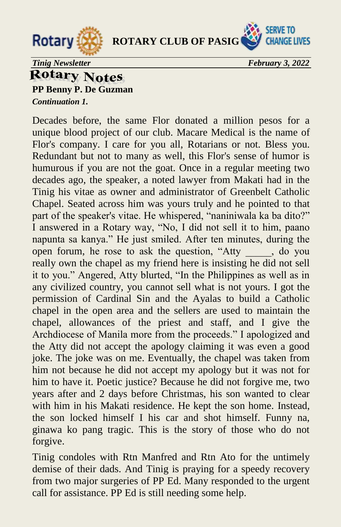



*Tinig Newsletter* February 3, 2022

## **Rotary Notes PP Benny P. De Guzman**

*Continuation 1.* 

Decades before, the same Flor donated a million pesos for a unique blood project of our club. Macare Medical is the name of Flor's company. I care for you all, Rotarians or not. Bless you. Redundant but not to many as well, this Flor's sense of humor is humurous if you are not the goat. Once in a regular meeting two decades ago, the speaker, a noted lawyer from Makati had in the Tinig his vitae as owner and administrator of Greenbelt Catholic Chapel. Seated across him was yours truly and he pointed to that part of the speaker's vitae. He whispered, "naniniwala ka ba dito?" I answered in a Rotary way, "No, I did not sell it to him, paano napunta sa kanya." He just smiled. After ten minutes, during the open forum, he rose to ask the question, "Atty \_\_\_\_\_, do you really own the chapel as my friend here is insisting he did not sell it to you." Angered, Atty blurted, "In the Philippines as well as in any civilized country, you cannot sell what is not yours. I got the permission of Cardinal Sin and the Ayalas to build a Catholic chapel in the open area and the sellers are used to maintain the chapel, allowances of the priest and staff, and I give the Archdiocese of Manila more from the proceeds." I apologized and the Atty did not accept the apology claiming it was even a good joke. The joke was on me. Eventually, the chapel was taken from him not because he did not accept my apology but it was not for him to have it. Poetic justice? Because he did not forgive me, two years after and 2 days before Christmas, his son wanted to clear with him in his Makati residence. He kept the son home. Instead, the son locked himself I his car and shot himself. Funny na, ginawa ko pang tragic. This is the story of those who do not forgive.

Tinig condoles with Rtn Manfred and Rtn Ato for the untimely demise of their dads. And Tinig is praying for a speedy recovery from two major surgeries of PP Ed. Many responded to the urgent call for assistance. PP Ed is still needing some help.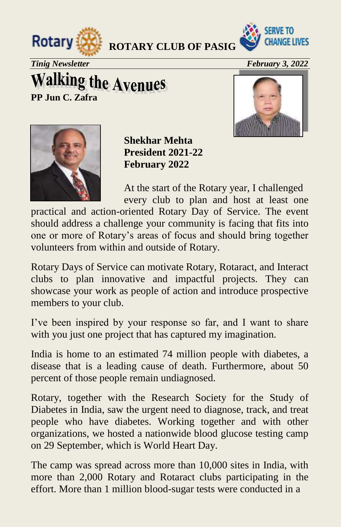



**Walking the Avenues**<br>PP Jun C. Zafra



**Shekhar Mehta President 2021-22 February 2022**

At the start of the Rotary year, I challenged every club to plan and host at least one

practical and action-oriented Rotary Day of Service. The event should address a challenge your community is facing that fits into one or more of Rotary's areas of focus and should bring together volunteers from within and outside of Rotary.

Rotary Days of Service can motivate Rotary, Rotaract, and Interact clubs to plan innovative and impactful projects. They can showcase your work as people of action and introduce prospective members to your club.

I've been inspired by your response so far, and I want to share with you just one project that has captured my imagination.

India is home to an estimated 74 million people with diabetes, a disease that is a leading cause of death. Furthermore, about 50 percent of those people remain undiagnosed.

Rotary, together with the Research Society for the Study of Diabetes in India, saw the urgent need to diagnose, track, and treat people who have diabetes. Working together and with other organizations, we hosted a nationwide blood glucose testing camp on 29 September, which is World Heart Day.

The camp was spread across more than 10,000 sites in India, with more than 2,000 Rotary and Rotaract clubs participating in the effort. More than 1 million blood-sugar tests were conducted in a

*Tinig Newsletter* February 3, 2022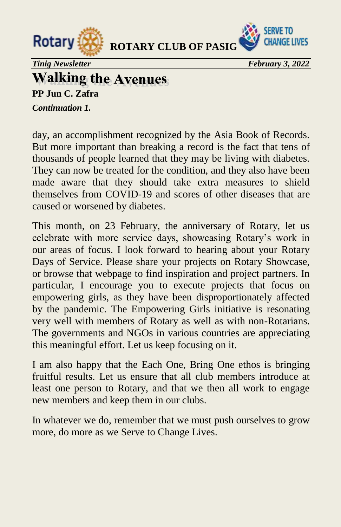

*Tinig Newsletter* February 3, 2022

**GE LIVES** 

# **Walking the Avenues PP Jun C. Zafra**

*Continuation 1.* 

day, an accomplishment recognized by the Asia Book of Records. But more important than breaking a record is the fact that tens of thousands of people learned that they may be living with diabetes. They can now be treated for the condition, and they also have been made aware that they should take extra measures to shield themselves from COVID-19 and scores of other diseases that are caused or worsened by diabetes.

This month, on 23 February, the anniversary of Rotary, let us celebrate with more service days, showcasing Rotary's work in our areas of focus. I look forward to hearing about your Rotary Days of Service. Please share your projects on Rotary Showcase, or browse that webpage to find inspiration and project partners. In particular, I encourage you to execute projects that focus on empowering girls, as they have been disproportionately affected by the pandemic. The Empowering Girls initiative is resonating very well with members of Rotary as well as with non-Rotarians. The governments and NGOs in various countries are appreciating this meaningful effort. Let us keep focusing on it.

I am also happy that the Each One, Bring One ethos is bringing fruitful results. Let us ensure that all club members introduce at least one person to Rotary, and that we then all work to engage new members and keep them in our clubs.

In whatever we do, remember that we must push ourselves to grow more, do more as we Serve to Change Lives.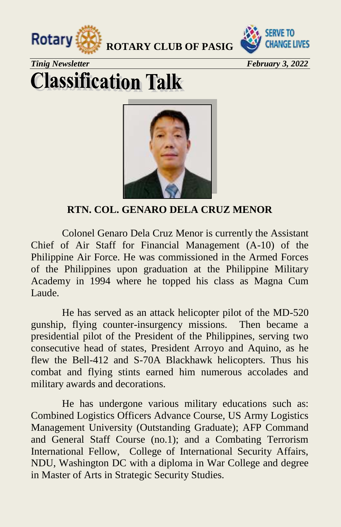



# *Tinig Newsletter* February 3, 2022 **Classification Talk**



### **RTN. COL. GENARO DELA CRUZ MENOR**

Colonel Genaro Dela Cruz Menor is currently the Assistant Chief of Air Staff for Financial Management (A-10) of the Philippine Air Force. He was commissioned in the Armed Forces of the Philippines upon graduation at the Philippine Military Academy in 1994 where he topped his class as Magna Cum Laude.

He has served as an attack helicopter pilot of the MD-520 gunship, flying counter-insurgency missions. Then became a presidential pilot of the President of the Philippines, serving two consecutive head of states, President Arroyo and Aquino, as he flew the Bell-412 and S-70A Blackhawk helicopters. Thus his combat and flying stints earned him numerous accolades and military awards and decorations.

He has undergone various military educations such as: Combined Logistics Officers Advance Course, US Army Logistics Management University (Outstanding Graduate); AFP Command and General Staff Course (no.1); and a Combating Terrorism International Fellow, College of International Security Affairs, NDU, Washington DC with a diploma in War College and degree in Master of Arts in Strategic Security Studies.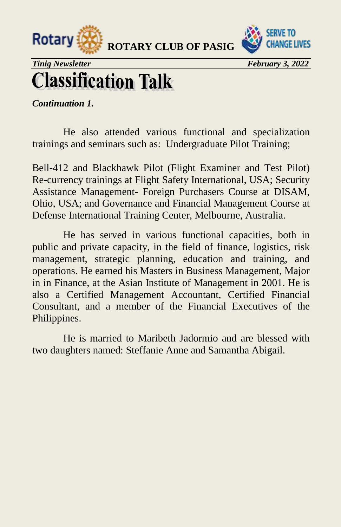



# *Tinig Newsletter* February 3, 2022 **Classification Talk**

*Continuation 1.* 

He also attended various functional and specialization trainings and seminars such as: Undergraduate Pilot Training;

Bell-412 and Blackhawk Pilot (Flight Examiner and Test Pilot) Re-currency trainings at Flight Safety International, USA; Security Assistance Management- Foreign Purchasers Course at DISAM, Ohio, USA; and Governance and Financial Management Course at Defense International Training Center, Melbourne, Australia.

He has served in various functional capacities, both in public and private capacity, in the field of finance, logistics, risk management, strategic planning, education and training, and operations. He earned his Masters in Business Management, Major in in Finance, at the Asian Institute of Management in 2001. He is also a Certified Management Accountant, Certified Financial Consultant, and a member of the Financial Executives of the Philippines.

He is married to Maribeth Jadormio and are blessed with two daughters named: Steffanie Anne and Samantha Abigail.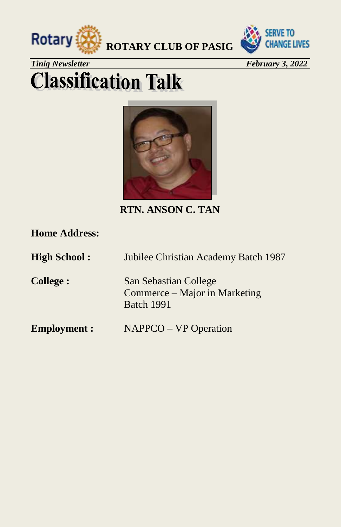



# **Tinig Newsletter February 3, 2022 Classification Talk**



**RTN. ANSON C. TAN** 

**Home Address:**

**High School :**

**College :**

San Sebastian College Commerce – Major in Marketing Batch 1991

Jubilee Christian Academy Batch 1987

**Employment :** NAPPCO – VP Operation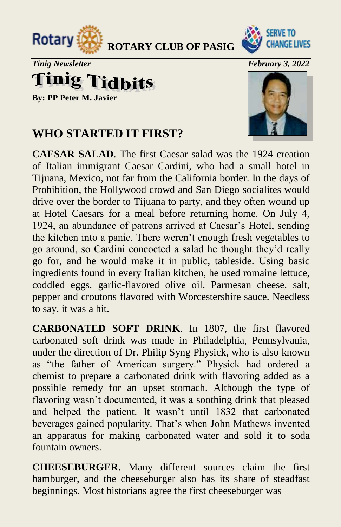

**SERVE TO** 

*Tinig Newsletter* February 3, 2022

**Tinig Tidbits** 

**By: PP Peter M. Javier**

## **WHO STARTED IT FIRST?**

**CAESAR SALAD**. The first Caesar salad was the 1924 creation of Italian immigrant Caesar Cardini, who had a small hotel in Tijuana, Mexico, not far from the California border. In the days of Prohibition, the Hollywood crowd and San Diego socialites would drive over the border to Tijuana to party, and they often wound up at Hotel Caesars for a meal before returning home. On July 4, 1924, an abundance of patrons arrived at Caesar's Hotel, sending the kitchen into a panic. There weren't enough fresh vegetables to go around, so Cardini concocted a salad he thought they'd really go for, and he would make it in public, tableside. Using basic ingredients found in every Italian kitchen, he used romaine lettuce, coddled eggs, garlic-flavored olive oil, Parmesan cheese, salt, pepper and croutons flavored with Worcestershire sauce. Needless to say, it was a hit.

**CARBONATED SOFT DRINK**. In 1807, the first flavored carbonated soft drink was made in Philadelphia, Pennsylvania, under the direction of Dr. Philip Syng Physick, who is also known as "the father of American surgery." Physick had ordered a chemist to prepare a carbonated drink with flavoring added as a possible remedy for an upset stomach. Although the type of flavoring wasn't documented, it was a soothing drink that pleased and helped the patient. It wasn't until 1832 that carbonated beverages gained popularity. That's when John Mathews invented an apparatus for making carbonated water and sold it to soda fountain owners.

**CHEESEBURGER**. Many different sources claim the first hamburger, and the cheeseburger also has its share of steadfast beginnings. Most historians agree the first cheeseburger was

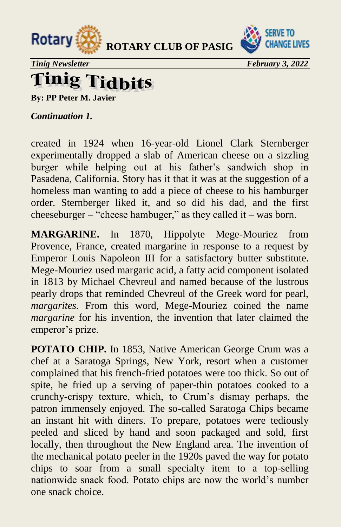



*Tinig Newsletter* February 3, 2022

### Tinig 7 l'idhits

**By: PP Peter M. Javier**

### *Continuation 1.*

created in 1924 when 16-year-old Lionel Clark Sternberger experimentally dropped a slab of American cheese on a sizzling burger while helping out at his father's sandwich shop in Pasadena, California. Story has it that it was at the suggestion of a homeless man wanting to add a piece of cheese to his hamburger order. Sternberger liked it, and so did his dad, and the first cheeseburger – "cheese hambuger," as they called it – was born.

**MARGARINE.** In 1870, Hippolyte Mege-Mouriez from Provence, France, created margarine in response to a request by Emperor Louis Napoleon III for a satisfactory butter substitute. Mege-Mouriez used margaric acid, a fatty acid component isolated in 1813 by Michael Chevreul and named because of the lustrous pearly drops that reminded Chevreul of the Greek word for pearl, *margarites.* From this word, Mege-Mouriez coined the name *margarine* for his invention, the invention that later claimed the emperor's prize.

**POTATO CHIP.** In 1853, Native American George Crum was a chef at a Saratoga Springs, New York, resort when a customer complained that his french-fried potatoes were too thick. So out of spite, he fried up a serving of paper-thin potatoes cooked to a crunchy-crispy texture, which, to Crum's dismay perhaps, the patron immensely enjoyed. The so-called Saratoga Chips became an instant hit with diners. To prepare, potatoes were tediously peeled and sliced by hand and soon packaged and sold, first locally, then throughout the New England area. The invention of the mechanical potato peeler in the 1920s paved the way for potato chips to soar from a small specialty item to a top-selling nationwide snack food. Potato chips are now the world's number one snack choice.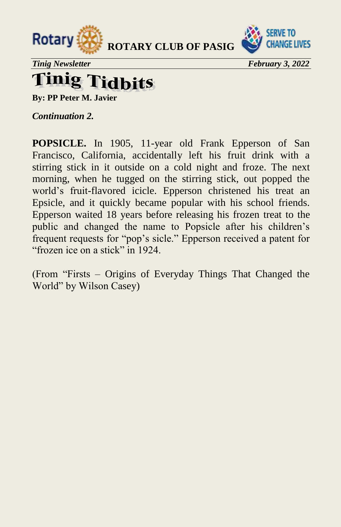



*Tinig Newsletter* February 3, 2022

# **Tinig Tidbits**

**By: PP Peter M. Javier**

*Continuation 2.*

**POPSICLE.** In 1905, 11-year old Frank Epperson of San Francisco, California, accidentally left his fruit drink with a stirring stick in it outside on a cold night and froze. The next morning, when he tugged on the stirring stick, out popped the world's fruit-flavored icicle. Epperson christened his treat an Epsicle, and it quickly became popular with his school friends. Epperson waited 18 years before releasing his frozen treat to the public and changed the name to Popsicle after his children's frequent requests for "pop's sicle." Epperson received a patent for "frozen ice on a stick" in 1924.

(From "Firsts – Origins of Everyday Things That Changed the World" by Wilson Casey)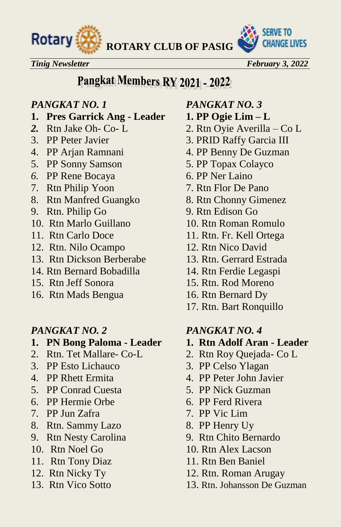



**Tinig Newsletter February 3, 2022** 

## Pangkat Members RY 2021 - 2022

- **1. Pres Garrick Ang - Leader 1. PP Ogie Lim – L**
- 
- 
- 
- 5. PP Sonny Samson 5. PP Topax Colayco
- *6.* PP Rene Bocaya 6. PP Ner Laino
- 7. Rtn Philip Yoon 7. Rtn Flor De Pano
- 8. Rtn Manfred Guangko 8. Rtn Chonny Gimenez
- 9. Rtn. Philip Go 9. Rtn Edison Go
- 10. Rtn Marlo Guillano 10. Rtn Roman Romulo
- 
- 12. Rtn. Nilo Ocampo 12. Rtn Nico David
- 13. Rtn Dickson Berberabe 13. Rtn. Gerrard Estrada
- 14. Rtn Bernard Bobadilla 14. Rtn Ferdie Legaspi
- 
- 16. Rtn Mads Bengua 16. Rtn Bernard Dy

- **1. PN Bong Paloma - Leader 1. Rtn Adolf Aran - Leader**
- 2. Rtn. Tet Mallare- Co-L 2. Rtn Roy Quejada- Co L
- 3. PP Esto Lichauco 3. PP Celso Ylagan
- 
- 5. PP Conrad Cuesta 5. PP Nick Guzman
- 6. PP Hermie Orbe 6. PP Ferd Rivera
- 7. PP Jun Zafra 7. PP Vic Lim
- 8. Rtn. Sammy Lazo 8. PP Henry Uy
- 9. Rtn Nesty Carolina 9. Rtn Chito Bernardo
- 
- 
- 
- 

### *PANGKAT NO. 1 PANGKAT NO. 3*

- 
- *2.* Rtn Jake Oh- Co- L 2. Rtn Oyie Averilla Co L
- 3. PP Peter Javier 3. PRID Raffy Garcia III
- 4. PP Arjan Ramnani 4. PP Benny De Guzman
	-
	-
	-
	-
	-
	-
- 11. Rtn Carlo Doce 11. Rtn. Fr. Kell Ortega
	-
	-
	-
- 15. Rtn Jeff Sonora 15. Rtn. Rod Moreno
	-
	- 17. Rtn. Bart Ronquillo

### *PANGKAT NO. 2 PANGKAT NO. 4*

- 
- 
- 
- 4. PP Rhett Ermita 4. PP Peter John Javier
	-
	-
	-
	-
	-
- 10. Rtn Noel Go 10. Rtn Alex Lacson
- 11. Rtn Tony Diaz 11. Rtn Ben Baniel
- 12. Rtn Nicky Ty 12. Rtn. Roman Arugay
- 13. Rtn Vico Sotto 13. Rtn. Johansson De Guzman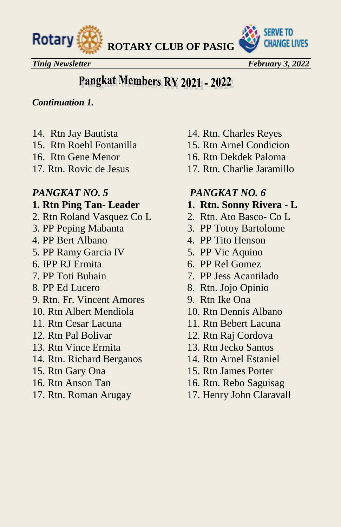



*Tinig Newsletter* February 3, 2022

## Pangkat Members RY 2021 - 2022

### *Continuation 1.*

- 
- 15. Rtn Roehl Fontanilla 15. Rtn Arnel Condicion
- 
- 

### **1. Rtn Ping Tan- Leader 1. Rtn. Sonny Rivera - L**

- 2. Rtn Roland Vasquez Co L 2. Rtn. Ato Basco- Co L
- 
- 
- 5. PP Ramy Garcia IV 5. PP Vic Aquino
- 
- 
- 
- 9. Rtn. Fr. Vincent Amores 9. Rtn Ike Ona
- 10. Rtn Albert Mendiola 10. Rtn Dennis Albano
- 
- 
- 13. Rtn Vince Ermita 13. Rtn Jecko Santos
- 14. Rtn. Richard Berganos 14. Rtn Arnel Estaniel
- 
- 
- 
- 14. Rtn Jay Bautista 14. Rtn. Charles Reyes
	-
- 16. Rtn Gene Menor 16. Rtn Dekdek Paloma
- 17. Rtn. Rovic de Jesus 17. Rtn. Charlie Jaramillo

### *PANGKAT NO. 5 PANGKAT NO. 6*

- 
- 
- 3. PP Peping Mabanta 3. PP Totoy Bartolome
- 4. PP Bert Albano 4. PP Tito Henson
	-
- 6. IPP RJ Ermita 6. PP Rel Gomez
- 7. PP Toti Buhain 7. PP Jess Acantilado
- 8. PP Ed Lucero 8. Rtn. Jojo Opinio
	-
	-
- 11. Rtn Cesar Lacuna 11. Rtn Bebert Lacuna
- 12. Rtn Pal Bolivar 12. Rtn Raj Cordova
	-
	-
- 15. Rtn Gary Ona 15. Rtn James Porter
- 16. Rtn Anson Tan 16. Rtn. Rebo Saguisag
- 17. Rtn. Roman Arugay 17. Henry John Claravall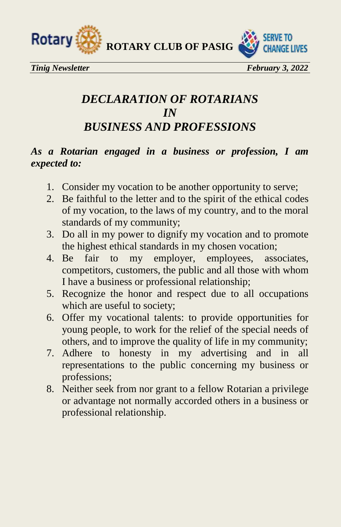



*Tinig Newsletter* February 3, 2022

### *DECLARATION OF ROTARIANS IN BUSINESS AND PROFESSIONS*

### *As a Rotarian engaged in a business or profession, I am expected to:*

- 1. Consider my vocation to be another opportunity to serve;
- 2. Be faithful to the letter and to the spirit of the ethical codes of my vocation, to the laws of my country, and to the moral standards of my community;
- 3. Do all in my power to dignify my vocation and to promote the highest ethical standards in my chosen vocation;
- 4. Be fair to my employer, employees, associates, competitors, customers, the public and all those with whom I have a business or professional relationship;
- 5. Recognize the honor and respect due to all occupations which are useful to society;
- 6. Offer my vocational talents: to provide opportunities for young people, to work for the relief of the special needs of others, and to improve the quality of life in my community;
- 7. Adhere to honesty in my advertising and in all representations to the public concerning my business or professions;
- 8. Neither seek from nor grant to a fellow Rotarian a privilege or advantage not normally accorded others in a business or professional relationship.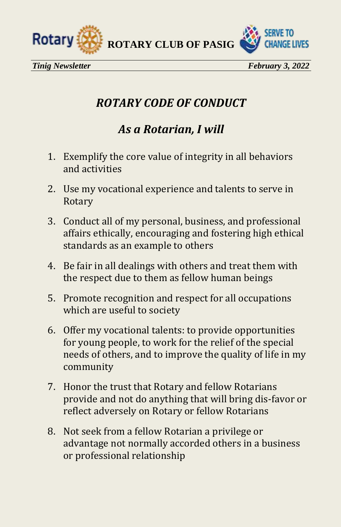



## *ROTARY CODE OF CONDUCT*

## *As a Rotarian, I will*

- 1. Exemplify the core value of integrity in all behaviors and activities
- 2. Use my vocational experience and talents to serve in Rotary
- 3. Conduct all of my personal, business, and professional affairs ethically, encouraging and fostering high ethical standards as an example to others
- 4. Be fair in all dealings with others and treat them with the respect due to them as fellow human beings
- 5. Promote recognition and respect for all occupations which are useful to society
- 6. Offer my vocational talents: to provide opportunities for young people, to work for the relief of the special needs of others, and to improve the quality of life in my community
- 7. Honor the trust that Rotary and fellow Rotarians provide and not do anything that will bring dis-favor or reflect adversely on Rotary or fellow Rotarians
- 8. Not seek from a fellow Rotarian a privilege or advantage not normally accorded others in a business or professional relationship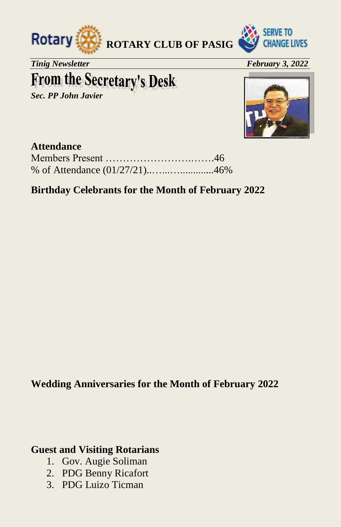



*Tinig Newsletter* February 3, 2022

# **From the Secretary's Desk**

*Sec. PP John Javier* 



### **Attendance**

### **Birthday Celebrants for the Month of February 2022**

### **Wedding Anniversaries for the Month of February 2022**

### **Guest and Visiting Rotarians**

- 1. Gov. Augie Soliman
- 2. PDG Benny Ricafort
- 3. PDG Luizo Ticman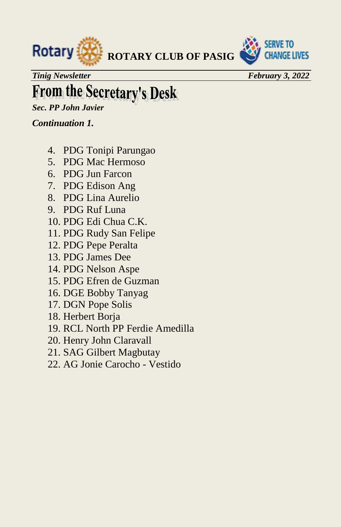



*Tinig Newsletter* February 3, 2022

# **From the Secretary's Desk**

*Sec. PP John Javier* 

*Continuation 1.* 

- 4. PDG Tonipi Parungao
- 5. PDG Mac Hermoso
- 6. PDG Jun Farcon
- 7. PDG Edison Ang
- 8. PDG Lina Aurelio
- 9. PDG Ruf Luna
- 10. PDG Edi Chua C.K.
- 11. PDG Rudy San Felipe
- 12. PDG Pepe Peralta
- 13. PDG James Dee
- 14. PDG Nelson Aspe
- 15. PDG Efren de Guzman
- 16. DGE Bobby Tanyag
- 17. DGN Pope Solis
- 18. Herbert Borja
- 19. RCL North PP Ferdie Amedilla
- 20. Henry John Claravall
- 21. SAG Gilbert Magbutay
- 22. AG Jonie Carocho Vestido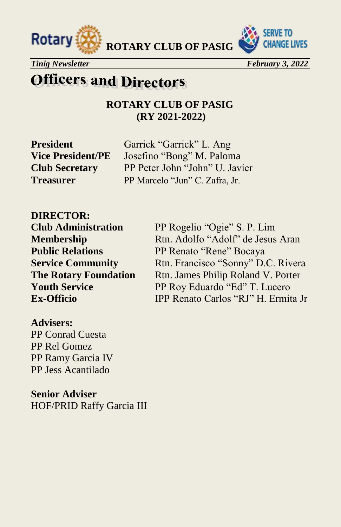



*Tinig Newsletter* February 3, 2022

# **Officers and Directors**

**ROTARY CLUB OF PASIG (RY 2021-2022)**

**President** Garrick "Garrick" L. Ang **Vice President/PE** Josefino "Bong" M. Paloma **Club Secretary** PP Peter John "John" U. Javier **Treasurer** PP Marcelo "Jun" C. Zafra, Jr.

**DIRECTOR:** 

**Club Administration** PP Rogelio "Ogie" S. P. Lim **Membership** Rtn. Adolfo "Adolf" de Jesus Aran **Public Relations** PP Renato "Rene" Bocaya **Service Community** Rtn. Francisco "Sonny" D.C. Rivera **The Rotary Foundation** Rtn. James Philip Roland V. Porter **Youth Service** PP Roy Eduardo "Ed" T. Lucero **Ex-Officio** IPP Renato Carlos "RJ" H. Ermita Jr

### **Advisers:**

PP Conrad Cuesta PP Rel Gomez PP Ramy Garcia IV PP Jess Acantilado

**Senior Adviser**  HOF/PRID Raffy Garcia III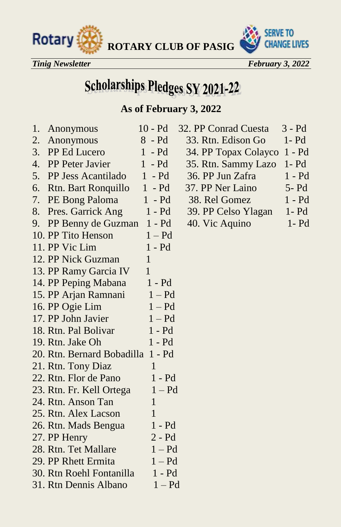



*Tinig Newsletter* February 3, 2022

# **Scholarships Pledges SY 2021-22**

### **As of February 3, 2022**

| 1. | Anonymous                         | $10 - Pd$    | 32. PP Conrad Cuesta | 3 - Pd   |
|----|-----------------------------------|--------------|----------------------|----------|
| 2. | Anonymous                         | $8 - Pd$     | 33. Rtn. Edison Go   | $1 - Pd$ |
| 3. | PP Ed Lucero                      | $1 - Pd$     | 34. PP Topax Colayco | $1 - Pd$ |
| 4. | <b>PP</b> Peter Javier            | $1 - Pd$     | 35. Rtn. Sammy Lazo  | $1 - Pd$ |
| 5. | PP Jess Acantilado                | $1 - Pd$     | 36. PP Jun Zafra     | $1 - Pd$ |
| 6. | Rtn. Bart Ronquillo               | $1 - Pd$     | 37. PP Ner Laino     | $5-$ Pd  |
| 7. | PE Bong Paloma                    | $1 - Pd$     | 38. Rel Gomez        | $1 - Pd$ |
| 8. | Pres. Garrick Ang                 | $1 - Pd$     | 39. PP Celso Ylagan  | $1 - Pd$ |
| 9. | PP Benny de Guzman                | 1 - Pd       | 40. Vic Aquino       | $1 - Pd$ |
|    | 10. PP Tito Henson                | $1 - Pd$     |                      |          |
|    | 11. PP Vic Lim                    | $1 - Pd$     |                      |          |
|    | 12. PP Nick Guzman                | $\mathbf{1}$ |                      |          |
|    | 13. PP Ramy Garcia IV             | 1            |                      |          |
|    | 14. PP Peping Mabana              | $1 - Pd$     |                      |          |
|    | 15. PP Arjan Ramnani              | $1 - Pd$     |                      |          |
|    | 16. PP Ogie Lim                   | $1 - Pd$     |                      |          |
|    | 17. PP John Javier                | $1 - Pd$     |                      |          |
|    | 18. Rtn. Pal Bolivar              | $1 - Pd$     |                      |          |
|    | 19. Rtn. Jake Oh                  | $1 - Pd$     |                      |          |
|    | 20. Rtn. Bernard Bobadilla 1 - Pd |              |                      |          |
|    | 21. Rtn. Tony Diaz                | 1            |                      |          |
|    | 22. Rtn. Flor de Pano             | $1 - Pd$     |                      |          |
|    | 23. Rtn. Fr. Kell Ortega          | $1 - Pd$     |                      |          |
|    | 24. Rtn. Anson Tan                | $\mathbf{1}$ |                      |          |
|    | 25. Rtn. Alex Lacson              | 1            |                      |          |
|    | 26. Rtn. Mads Bengua              | $1 - Pd$     |                      |          |
|    | 27. PP Henry                      | $2 - Pd$     |                      |          |
|    | 28. Rtn. Tet Mallare              | $1 - Pd$     |                      |          |
|    | 29. PP Rhett Ermita               | $1 - Pd$     |                      |          |
|    | 30. Rtn Roehl Fontanilla          | 1 - Pd       |                      |          |
|    | 31. Rtn Dennis Albano             | $1 - Pd$     |                      |          |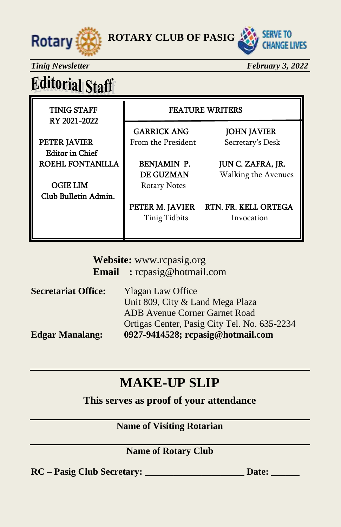



**Tinig Newsletter** February 3, 2022

# **Editorial Staff**

RY 2021-2022

Editor in Chief

TINIG STAFF FEATURE WRITERS

GARRICK ANG JOHN JAVIER **PETER JAVIER** From the President Secretary's Desk

ROEHL FONTANILLA | BENJAMIN P. JUN C. ZAFRA, JR. DE GUZMAN Walking the Avenues

OGIE LIM Rotary Notes Club Bulletin Admin.

PETER M. JAVIER RTN. FR. KELL ORTEGA Tinig Tidbits Invocation

**Website:** [www.rcpasig.org](http://www.rcpasig.org/) **Email :** [rcpasig@hotmail.com](mailto:rcpasig@hotmail.com) 

| <b>Secretariat Office:</b> | <b>Ylagan Law Office</b>                     |
|----------------------------|----------------------------------------------|
|                            | Unit 809, City & Land Mega Plaza             |
|                            | <b>ADB</b> Avenue Corner Garnet Road         |
|                            | Ortigas Center, Pasig City Tel. No. 635-2234 |
| <b>Edgar Manalang:</b>     | 0927-9414528; rcpasig@hotmail.com            |

## **MAKE-UP SLIP**

**This serves as proof of your attendance** 

### **Name of Visiting Rotarian**

### **Name of Rotary Club**

**RC – Pasig Club Secretary: \_\_\_\_\_\_\_\_\_\_\_\_\_\_\_\_\_\_\_\_\_ Date: \_\_\_\_\_\_**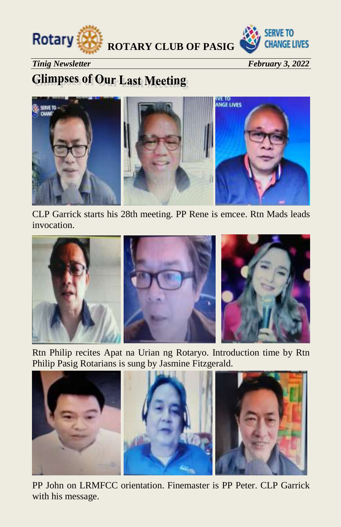



*Tinig Newsletter* February 3, 2022

# **Glimpses of Our Last Meeting**



CLP Garrick starts his 28th meeting. PP Rene is emcee. Rtn Mads leads invocation.



Rtn Philip recites Apat na Urian ng Rotaryo. Introduction time by Rtn Philip Pasig Rotarians is sung by Jasmine Fitzgerald.



PP John on LRMFCC orientation. Finemaster is PP Peter. CLP Garrick with his message.